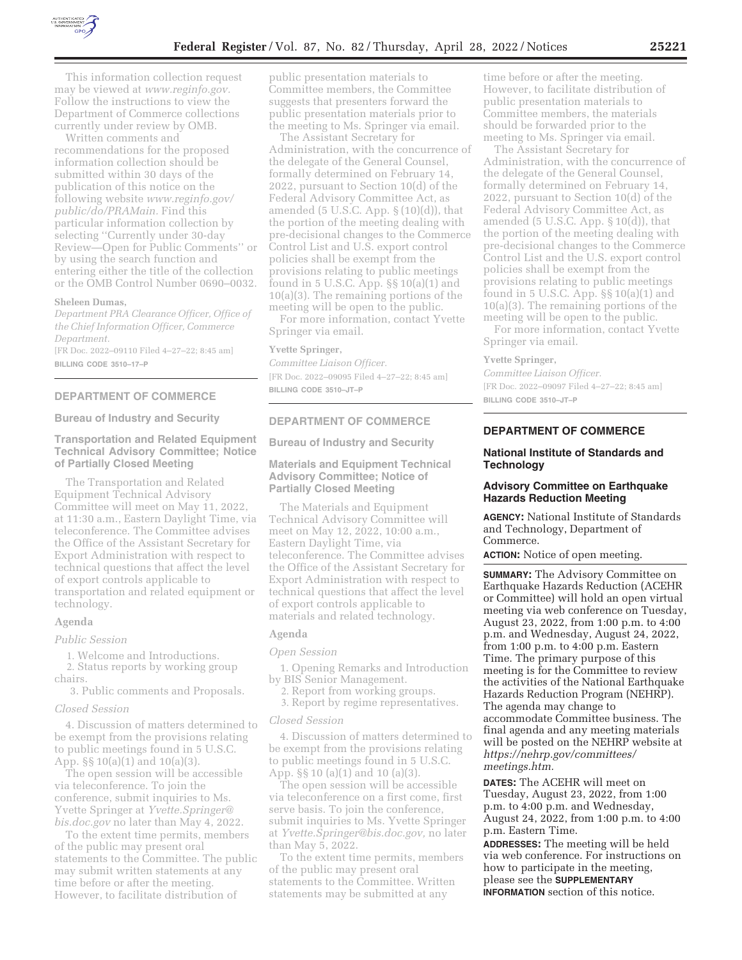

This information collection request may be viewed at *www.reginfo.gov.*  Follow the instructions to view the Department of Commerce collections currently under review by OMB.

Written comments and recommendations for the proposed information collection should be submitted within 30 days of the publication of this notice on the following website *www.reginfo.gov/ public/do/PRAMain.* Find this particular information collection by selecting ''Currently under 30-day Review—Open for Public Comments'' or by using the search function and entering either the title of the collection or the OMB Control Number 0690–0032.

## **Sheleen Dumas,**

*Department PRA Clearance Officer, Office of the Chief Information Officer, Commerce Department.* 

[FR Doc. 2022–09110 Filed 4–27–22; 8:45 am] **BILLING CODE 3510–17–P** 

## **DEPARTMENT OF COMMERCE**

**Bureau of Industry and Security** 

# **Transportation and Related Equipment Technical Advisory Committee; Notice of Partially Closed Meeting**

The Transportation and Related Equipment Technical Advisory Committee will meet on May 11, 2022, at 11:30 a.m., Eastern Daylight Time, via teleconference. The Committee advises the Office of the Assistant Secretary for Export Administration with respect to technical questions that affect the level of export controls applicable to transportation and related equipment or technology.

## **Agenda**

*Public Session* 

1. Welcome and Introductions.

2. Status reports by working group chairs.

3. Public comments and Proposals.

## *Closed Session*

4. Discussion of matters determined to be exempt from the provisions relating to public meetings found in 5 U.S.C. App. §§ 10(a)(1) and 10(a)(3).

The open session will be accessible via teleconference. To join the conference, submit inquiries to Ms. Yvette Springer at *Yvette.Springer@ bis.doc.gov* no later than May 4, 2022.

To the extent time permits, members of the public may present oral statements to the Committee. The public may submit written statements at any time before or after the meeting. However, to facilitate distribution of

public presentation materials to Committee members, the Committee suggests that presenters forward the public presentation materials prior to the meeting to Ms. Springer via email.

The Assistant Secretary for Administration, with the concurrence of the delegate of the General Counsel, formally determined on February 14, 2022, pursuant to Section 10(d) of the Federal Advisory Committee Act, as amended (5 U.S.C. App.  $\S(10)(d)$ ), that the portion of the meeting dealing with pre-decisional changes to the Commerce Control List and U.S. export control policies shall be exempt from the provisions relating to public meetings found in 5 U.S.C. App. §§ 10(a)(1) and 10(a)(3). The remaining portions of the meeting will be open to the public.

For more information, contact Yvette Springer via email.

#### **Yvette Springer,**

*Committee Liaison Officer.*  [FR Doc. 2022–09095 Filed 4–27–22; 8:45 am] **BILLING CODE 3510–JT–P** 

# **DEPARTMENT OF COMMERCE**

**Bureau of Industry and Security** 

# **Materials and Equipment Technical Advisory Committee; Notice of Partially Closed Meeting**

The Materials and Equipment Technical Advisory Committee will meet on May 12, 2022, 10:00 a.m., Eastern Daylight Time, via teleconference. The Committee advises the Office of the Assistant Secretary for Export Administration with respect to technical questions that affect the level of export controls applicable to materials and related technology.

## **Agenda**

## *Open Session*

1. Opening Remarks and Introduction by BIS Senior Management.

2. Report from working groups.

3. Report by regime representatives.

## *Closed Session*

4. Discussion of matters determined to be exempt from the provisions relating to public meetings found in 5 U.S.C. App. §§ 10 (a)(1) and 10 (a)(3).

The open session will be accessible via teleconference on a first come, first serve basis. To join the conference, submit inquiries to Ms. Yvette Springer at *Yvette.Springer@bis.doc.gov,* no later than May 5, 2022.

To the extent time permits, members of the public may present oral statements to the Committee. Written statements may be submitted at any

time before or after the meeting. However, to facilitate distribution of public presentation materials to Committee members, the materials should be forwarded prior to the meeting to Ms. Springer via email.

The Assistant Secretary for Administration, with the concurrence of the delegate of the General Counsel, formally determined on February 14, 2022, pursuant to Section 10(d) of the Federal Advisory Committee Act, as amended (5 U.S.C. App. § 10(d)), that the portion of the meeting dealing with pre-decisional changes to the Commerce Control List and the U.S. export control policies shall be exempt from the provisions relating to public meetings found in 5 U.S.C. App. §§ 10(a)(1) and 10(a)(3). The remaining portions of the meeting will be open to the public.

For more information, contact Yvette Springer via email.

#### **Yvette Springer,**

*Committee Liaison Officer.*  [FR Doc. 2022–09097 Filed 4–27–22; 8:45 am] **BILLING CODE 3510–JT–P** 

# **DEPARTMENT OF COMMERCE**

## **National Institute of Standards and Technology**

# **Advisory Committee on Earthquake Hazards Reduction Meeting**

**AGENCY:** National Institute of Standards and Technology, Department of Commerce.

**ACTION:** Notice of open meeting.

**SUMMARY:** The Advisory Committee on Earthquake Hazards Reduction (ACEHR or Committee) will hold an open virtual meeting via web conference on Tuesday, August 23, 2022, from 1:00 p.m. to 4:00 p.m. and Wednesday, August 24, 2022, from 1:00 p.m. to 4:00 p.m. Eastern Time. The primary purpose of this meeting is for the Committee to review the activities of the National Earthquake Hazards Reduction Program (NEHRP). The agenda may change to accommodate Committee business. The final agenda and any meeting materials will be posted on the NEHRP website at *https://nehrp.gov/committees/ meetings.htm.*

**DATES:** The ACEHR will meet on Tuesday, August 23, 2022, from 1:00 p.m. to 4:00 p.m. and Wednesday, August 24, 2022, from 1:00 p.m. to 4:00 p.m. Eastern Time.

**ADDRESSES:** The meeting will be held via web conference. For instructions on how to participate in the meeting, please see the **SUPPLEMENTARY INFORMATION** section of this notice.